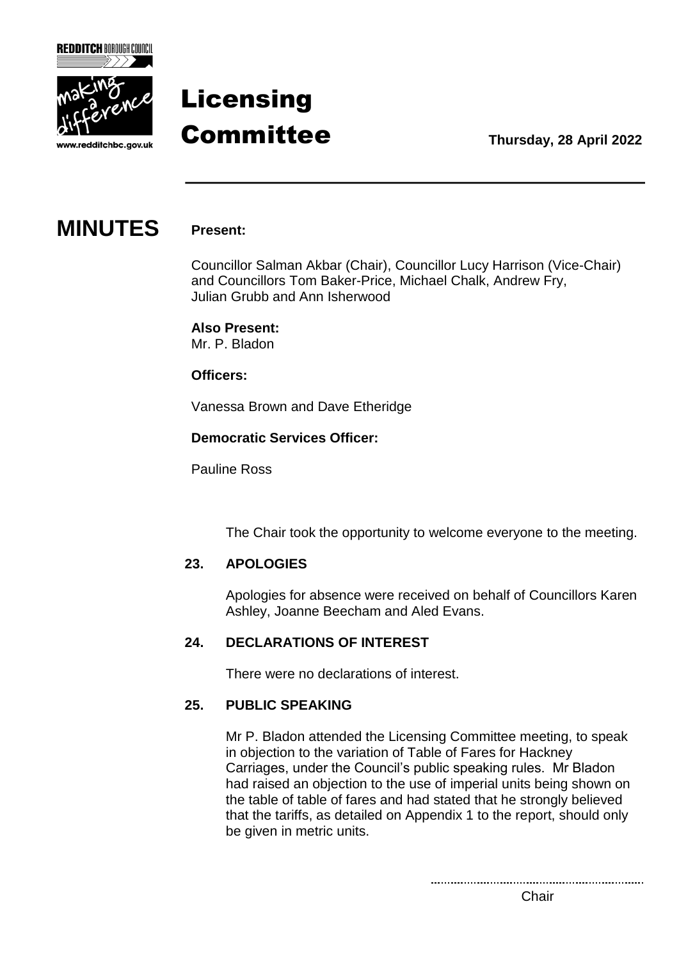

# Licensing **Committee** Thursday, 28 April 2022

## **MINUTES Present:**

Councillor Salman Akbar (Chair), Councillor Lucy Harrison (Vice-Chair) and Councillors Tom Baker-Price, Michael Chalk, Andrew Fry, Julian Grubb and Ann Isherwood

**Also Present:** Mr. P. Bladon

**Officers:**

Vanessa Brown and Dave Etheridge

#### **Democratic Services Officer:**

Pauline Ross

The Chair took the opportunity to welcome everyone to the meeting.

#### **23. APOLOGIES**

Apologies for absence were received on behalf of Councillors Karen Ashley, Joanne Beecham and Aled Evans.

### **24. DECLARATIONS OF INTEREST**

There were no declarations of interest.

#### **25. PUBLIC SPEAKING**

Mr P. Bladon attended the Licensing Committee meeting, to speak in objection to the variation of Table of Fares for Hackney Carriages, under the Council's public speaking rules. Mr Bladon had raised an objection to the use of imperial units being shown on the table of table of fares and had stated that he strongly believed that the tariffs, as detailed on Appendix 1 to the report, should only be given in metric units.

Chair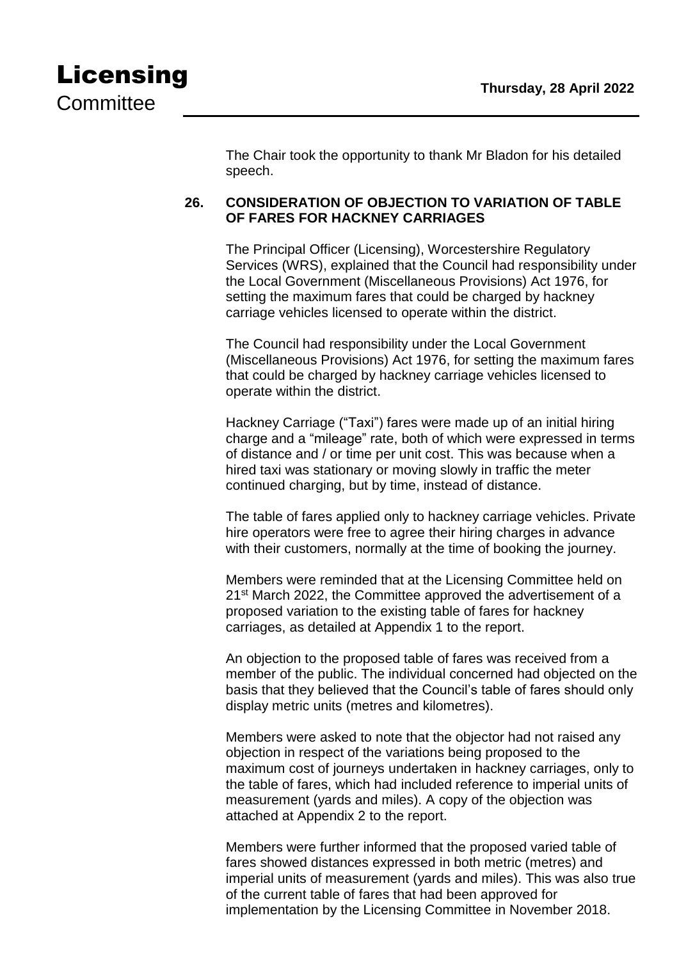The Chair took the opportunity to thank Mr Bladon for his detailed speech.

#### **26. CONSIDERATION OF OBJECTION TO VARIATION OF TABLE OF FARES FOR HACKNEY CARRIAGES**

The Principal Officer (Licensing), Worcestershire Regulatory Services (WRS), explained that the Council had responsibility under the Local Government (Miscellaneous Provisions) Act 1976, for setting the maximum fares that could be charged by hackney carriage vehicles licensed to operate within the district.

The Council had responsibility under the Local Government (Miscellaneous Provisions) Act 1976, for setting the maximum fares that could be charged by hackney carriage vehicles licensed to operate within the district.

Hackney Carriage ("Taxi") fares were made up of an initial hiring charge and a "mileage" rate, both of which were expressed in terms of distance and / or time per unit cost. This was because when a hired taxi was stationary or moving slowly in traffic the meter continued charging, but by time, instead of distance.

The table of fares applied only to hackney carriage vehicles. Private hire operators were free to agree their hiring charges in advance with their customers, normally at the time of booking the journey.

Members were reminded that at the Licensing Committee held on 21<sup>st</sup> March 2022, the Committee approved the advertisement of a proposed variation to the existing table of fares for hackney carriages, as detailed at Appendix 1 to the report.

An objection to the proposed table of fares was received from a member of the public. The individual concerned had objected on the basis that they believed that the Council's table of fares should only display metric units (metres and kilometres).

Members were asked to note that the objector had not raised any objection in respect of the variations being proposed to the maximum cost of journeys undertaken in hackney carriages, only to the table of fares, which had included reference to imperial units of measurement (yards and miles). A copy of the objection was attached at Appendix 2 to the report.

Members were further informed that the proposed varied table of fares showed distances expressed in both metric (metres) and imperial units of measurement (yards and miles). This was also true of the current table of fares that had been approved for implementation by the Licensing Committee in November 2018.